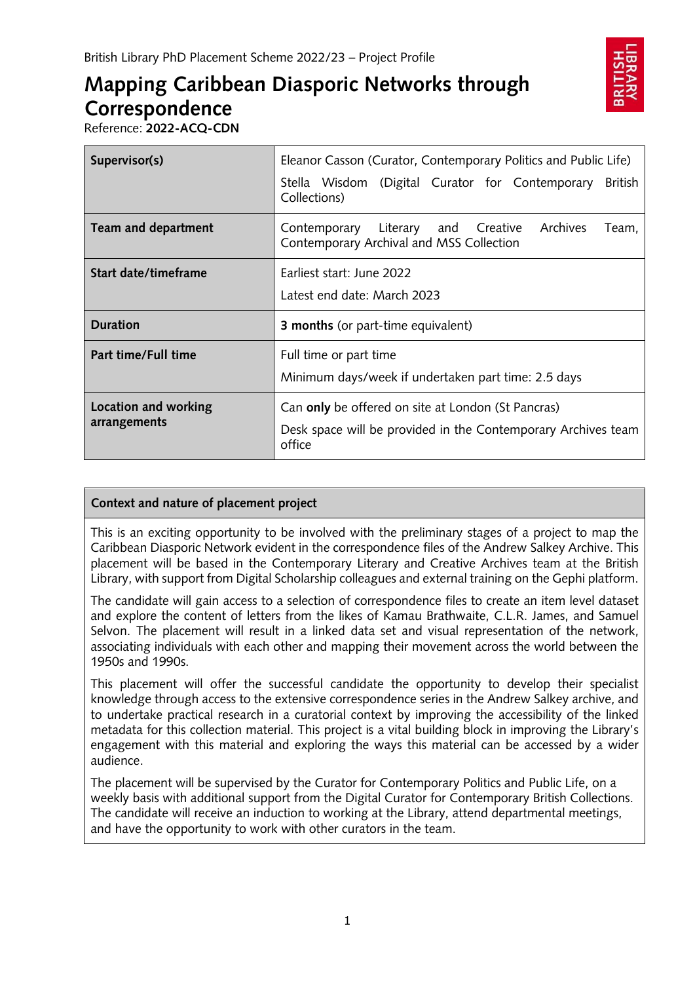# **Mapping Caribbean Diasporic Networks through Correspondence**



Reference: **2022-ACQ-CDN**

| Supervisor(s)                        | Eleanor Casson (Curator, Contemporary Politics and Public Life)                                                               |
|--------------------------------------|-------------------------------------------------------------------------------------------------------------------------------|
|                                      | Stella Wisdom (Digital Curator for Contemporary<br>British<br>Collections)                                                    |
| <b>Team and department</b>           | Archives<br>Contemporary Literary and Creative<br>Team,<br>Contemporary Archival and MSS Collection                           |
| Start date/timeframe                 | Farliest start: June 2022<br>Latest end date: March 2023                                                                      |
| <b>Duration</b>                      | <b>3 months</b> (or part-time equivalent)                                                                                     |
| Part time/Full time                  | Full time or part time<br>Minimum days/week if undertaken part time: 2.5 days                                                 |
| Location and working<br>arrangements | Can only be offered on site at London (St Pancras)<br>Desk space will be provided in the Contemporary Archives team<br>office |

# **Context and nature of placement project**

This is an exciting opportunity to be involved with the preliminary stages of a project to map the Caribbean Diasporic Network evident in the correspondence files of the Andrew Salkey Archive. This placement will be based in the Contemporary Literary and Creative Archives team at the British Library, with support from Digital Scholarship colleagues and external training on the Gephi platform.

The candidate will gain access to a selection of correspondence files to create an item level dataset and explore the content of letters from the likes of Kamau Brathwaite, C.L.R. James, and Samuel Selvon. The placement will result in a linked data set and visual representation of the network, associating individuals with each other and mapping their movement across the world between the 1950s and 1990s.

This placement will offer the successful candidate the opportunity to develop their specialist knowledge through access to the extensive correspondence series in the Andrew Salkey archive, and to undertake practical research in a curatorial context by improving the accessibility of the linked metadata for this collection material. This project is a vital building block in improving the Library's engagement with this material and exploring the ways this material can be accessed by a wider audience.

The placement will be supervised by the Curator for Contemporary Politics and Public Life, on a weekly basis with additional support from the Digital Curator for Contemporary British Collections. The candidate will receive an induction to working at the Library, attend departmental meetings, and have the opportunity to work with other curators in the team.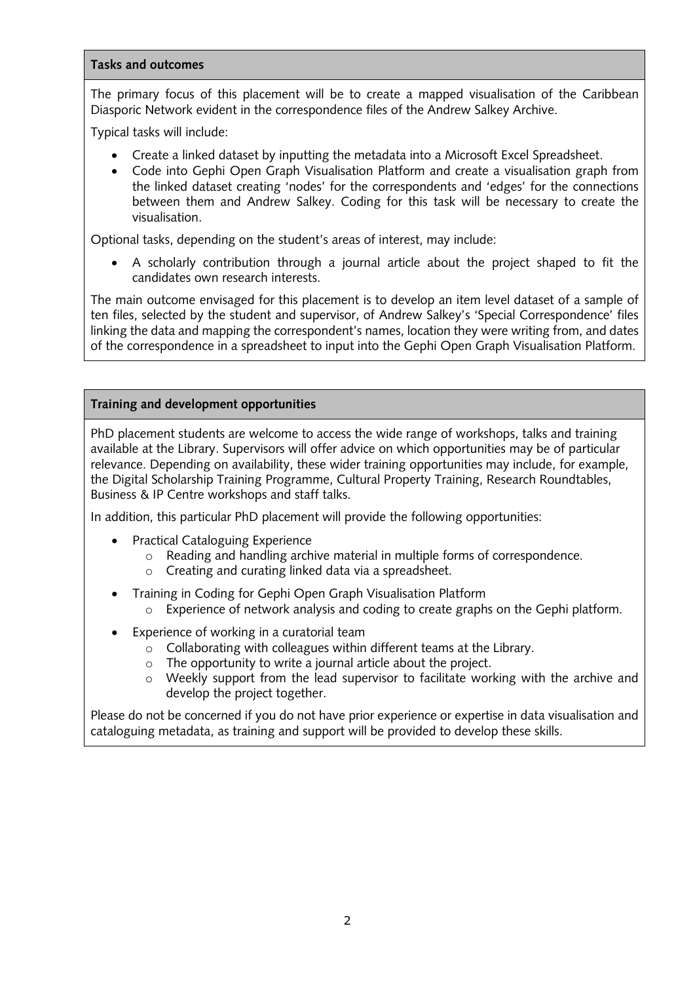## **Tasks and outcomes**

The primary focus of this placement will be to create a mapped visualisation of the Caribbean Diasporic Network evident in the correspondence files of the Andrew Salkey Archive.

Typical tasks will include:

- Create a linked dataset by inputting the metadata into a Microsoft Excel Spreadsheet.
- Code into Gephi Open Graph Visualisation Platform and create a visualisation graph from the linked dataset creating 'nodes' for the correspondents and 'edges' for the connections between them and Andrew Salkey. Coding for this task will be necessary to create the visualisation.

Optional tasks, depending on the student's areas of interest, may include:

• A scholarly contribution through a journal article about the project shaped to fit the candidates own research interests.

The main outcome envisaged for this placement is to develop an item level dataset of a sample of ten files, selected by the student and supervisor, of Andrew Salkey's 'Special Correspondence' files linking the data and mapping the correspondent's names, location they were writing from, and dates of the correspondence in a spreadsheet to input into the Gephi Open Graph Visualisation Platform.

## **Training and development opportunities**

PhD placement students are welcome to access the wide range of workshops, talks and training available at the Library. Supervisors will offer advice on which opportunities may be of particular relevance. Depending on availability, these wider training opportunities may include, for example, the Digital Scholarship Training Programme, Cultural Property Training, Research Roundtables, Business & IP Centre workshops and staff talks.

In addition, this particular PhD placement will provide the following opportunities:

- Practical Cataloguing Experience
	- o Reading and handling archive material in multiple forms of correspondence.
	- o Creating and curating linked data via a spreadsheet.
- Training in Coding for Gephi Open Graph Visualisation Platform  $\circ$  Experience of network analysis and coding to create graphs on the Gephi platform.
- Experience of working in a curatorial team
	- o Collaborating with colleagues within different teams at the Library.
	- o The opportunity to write a journal article about the project.
	- $\circ$  Weekly support from the lead supervisor to facilitate working with the archive and develop the project together.

Please do not be concerned if you do not have prior experience or expertise in data visualisation and cataloguing metadata, as training and support will be provided to develop these skills.